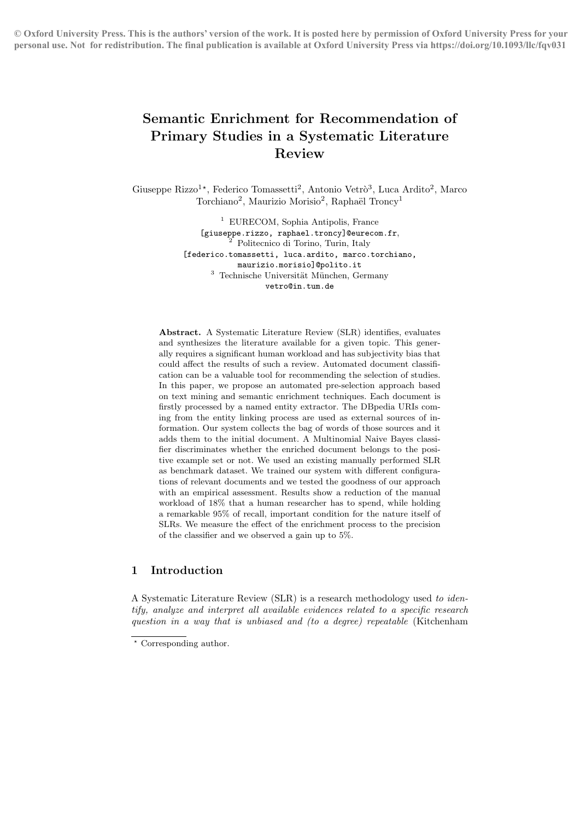# Semantic Enrichment for Recommendation of Primary Studies in a Systematic Literature Review

Giuseppe Rizzo<sup>1\*</sup>, Federico Tomassetti<sup>2</sup>, Antonio Vetrò<sup>3</sup>, Luca Ardito<sup>2</sup>, Marco Torchiano<sup>2</sup>, Maurizio Morisio<sup>2</sup>, Raphaël Troncy<sup>1</sup>

> <sup>1</sup> EURECOM, Sophia Antipolis, France [giuseppe.rizzo, raphael.troncy]@eurecom.fr, <sup>2</sup> Politecnico di Torino, Turin, Italy [federico.tomassetti, luca.ardito, marco.torchiano, maurizio.morisio]@polito.it  $^3$  Technische Universität München, Germany vetro@in.tum.de

Abstract. A Systematic Literature Review (SLR) identifies, evaluates and synthesizes the literature available for a given topic. This generally requires a significant human workload and has subjectivity bias that could affect the results of such a review. Automated document classification can be a valuable tool for recommending the selection of studies. In this paper, we propose an automated pre-selection approach based on text mining and semantic enrichment techniques. Each document is firstly processed by a named entity extractor. The DBpedia URIs coming from the entity linking process are used as external sources of information. Our system collects the bag of words of those sources and it adds them to the initial document. A Multinomial Naive Bayes classifier discriminates whether the enriched document belongs to the positive example set or not. We used an existing manually performed SLR as benchmark dataset. We trained our system with different configurations of relevant documents and we tested the goodness of our approach with an empirical assessment. Results show a reduction of the manual workload of 18% that a human researcher has to spend, while holding a remarkable 95% of recall, important condition for the nature itself of SLRs. We measure the effect of the enrichment process to the precision of the classifier and we observed a gain up to 5%.

# 1 Introduction

A Systematic Literature Review (SLR) is a research methodology used to identify, analyze and interpret all available evidences related to a specific research question in a way that is unbiased and (to a degree) repeatable (Kitchenham

<sup>\*</sup> Corresponding author.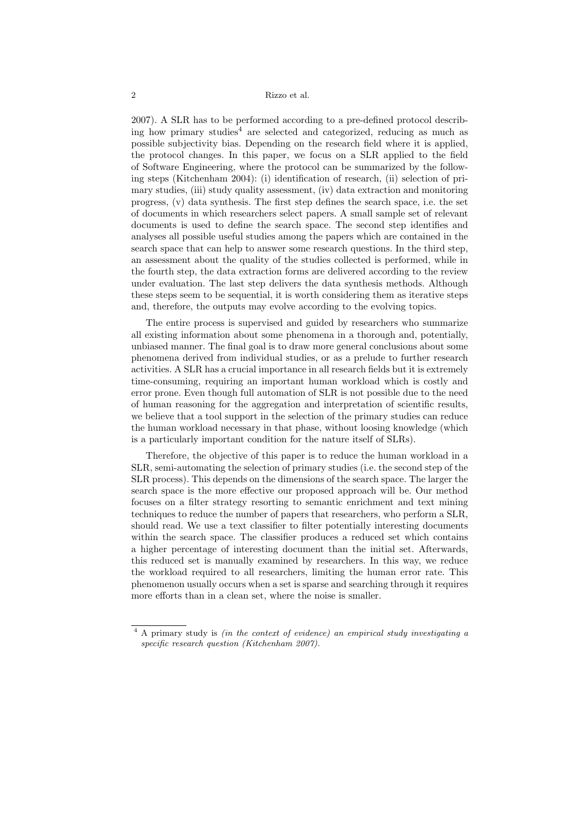2007). A SLR has to be performed according to a pre-defined protocol describing how primary studies<sup>4</sup> are selected and categorized, reducing as much as possible subjectivity bias. Depending on the research field where it is applied, the protocol changes. In this paper, we focus on a SLR applied to the field of Software Engineering, where the protocol can be summarized by the following steps (Kitchenham 2004): (i) identification of research, (ii) selection of primary studies, (iii) study quality assessment, (iv) data extraction and monitoring progress, (v) data synthesis. The first step defines the search space, i.e. the set of documents in which researchers select papers. A small sample set of relevant documents is used to define the search space. The second step identifies and analyses all possible useful studies among the papers which are contained in the search space that can help to answer some research questions. In the third step, an assessment about the quality of the studies collected is performed, while in the fourth step, the data extraction forms are delivered according to the review under evaluation. The last step delivers the data synthesis methods. Although these steps seem to be sequential, it is worth considering them as iterative steps and, therefore, the outputs may evolve according to the evolving topics.

The entire process is supervised and guided by researchers who summarize all existing information about some phenomena in a thorough and, potentially, unbiased manner. The final goal is to draw more general conclusions about some phenomena derived from individual studies, or as a prelude to further research activities. A SLR has a crucial importance in all research fields but it is extremely time-consuming, requiring an important human workload which is costly and error prone. Even though full automation of SLR is not possible due to the need of human reasoning for the aggregation and interpretation of scientific results, we believe that a tool support in the selection of the primary studies can reduce the human workload necessary in that phase, without loosing knowledge (which is a particularly important condition for the nature itself of SLRs).

Therefore, the objective of this paper is to reduce the human workload in a SLR, semi-automating the selection of primary studies (i.e. the second step of the SLR process). This depends on the dimensions of the search space. The larger the search space is the more effective our proposed approach will be. Our method focuses on a filter strategy resorting to semantic enrichment and text mining techniques to reduce the number of papers that researchers, who perform a SLR, should read. We use a text classifier to filter potentially interesting documents within the search space. The classifier produces a reduced set which contains a higher percentage of interesting document than the initial set. Afterwards, this reduced set is manually examined by researchers. In this way, we reduce the workload required to all researchers, limiting the human error rate. This phenomenon usually occurs when a set is sparse and searching through it requires more efforts than in a clean set, where the noise is smaller.

 $4$  A primary study is *(in the context of evidence)* an empirical study investigating a specific research question (Kitchenham 2007).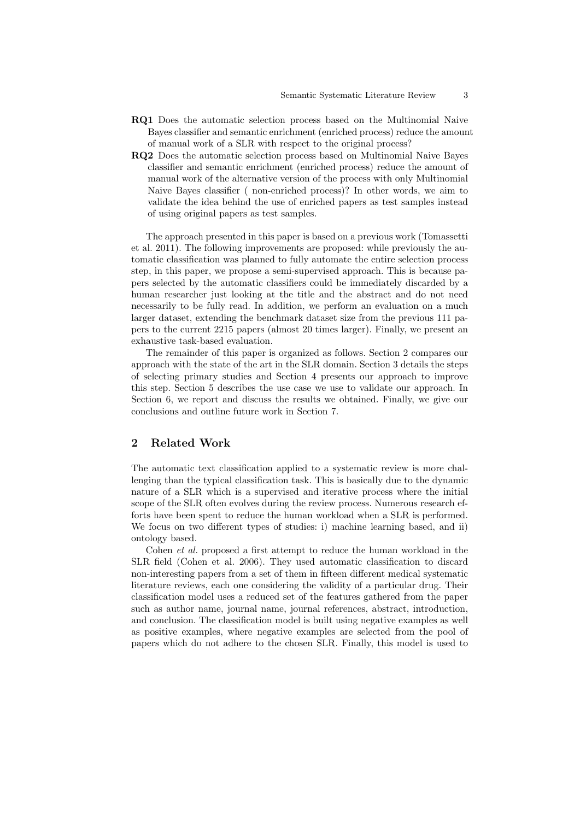- RQ1 Does the automatic selection process based on the Multinomial Naive Bayes classifier and semantic enrichment (enriched process) reduce the amount of manual work of a SLR with respect to the original process?
- RQ2 Does the automatic selection process based on Multinomial Naive Bayes classifier and semantic enrichment (enriched process) reduce the amount of manual work of the alternative version of the process with only Multinomial Naive Bayes classifier ( non-enriched process)? In other words, we aim to validate the idea behind the use of enriched papers as test samples instead of using original papers as test samples.

The approach presented in this paper is based on a previous work (Tomassetti et al. 2011). The following improvements are proposed: while previously the automatic classification was planned to fully automate the entire selection process step, in this paper, we propose a semi-supervised approach. This is because papers selected by the automatic classifiers could be immediately discarded by a human researcher just looking at the title and the abstract and do not need necessarily to be fully read. In addition, we perform an evaluation on a much larger dataset, extending the benchmark dataset size from the previous 111 papers to the current 2215 papers (almost 20 times larger). Finally, we present an exhaustive task-based evaluation.

The remainder of this paper is organized as follows. Section 2 compares our approach with the state of the art in the SLR domain. Section 3 details the steps of selecting primary studies and Section 4 presents our approach to improve this step. Section 5 describes the use case we use to validate our approach. In Section 6, we report and discuss the results we obtained. Finally, we give our conclusions and outline future work in Section 7.

# 2 Related Work

The automatic text classification applied to a systematic review is more challenging than the typical classification task. This is basically due to the dynamic nature of a SLR which is a supervised and iterative process where the initial scope of the SLR often evolves during the review process. Numerous research efforts have been spent to reduce the human workload when a SLR is performed. We focus on two different types of studies: i) machine learning based, and ii) ontology based.

Cohen et al. proposed a first attempt to reduce the human workload in the SLR field (Cohen et al. 2006). They used automatic classification to discard non-interesting papers from a set of them in fifteen different medical systematic literature reviews, each one considering the validity of a particular drug. Their classification model uses a reduced set of the features gathered from the paper such as author name, journal name, journal references, abstract, introduction, and conclusion. The classification model is built using negative examples as well as positive examples, where negative examples are selected from the pool of papers which do not adhere to the chosen SLR. Finally, this model is used to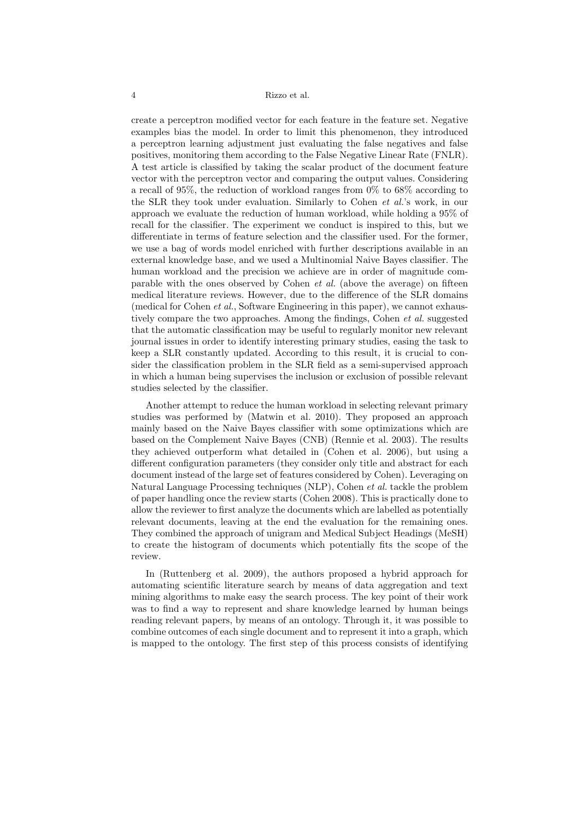create a perceptron modified vector for each feature in the feature set. Negative examples bias the model. In order to limit this phenomenon, they introduced a perceptron learning adjustment just evaluating the false negatives and false positives, monitoring them according to the False Negative Linear Rate (FNLR). A test article is classified by taking the scalar product of the document feature vector with the perceptron vector and comparing the output values. Considering a recall of 95%, the reduction of workload ranges from 0% to 68% according to the SLR they took under evaluation. Similarly to Cohen et al.'s work, in our approach we evaluate the reduction of human workload, while holding a 95% of recall for the classifier. The experiment we conduct is inspired to this, but we differentiate in terms of feature selection and the classifier used. For the former, we use a bag of words model enriched with further descriptions available in an external knowledge base, and we used a Multinomial Naive Bayes classifier. The human workload and the precision we achieve are in order of magnitude comparable with the ones observed by Cohen  $et \ al.$  (above the average) on fifteen medical literature reviews. However, due to the difference of the SLR domains (medical for Cohen et al., Software Engineering in this paper), we cannot exhaustively compare the two approaches. Among the findings, Cohen *et al.* suggested that the automatic classification may be useful to regularly monitor new relevant journal issues in order to identify interesting primary studies, easing the task to keep a SLR constantly updated. According to this result, it is crucial to consider the classification problem in the SLR field as a semi-supervised approach in which a human being supervises the inclusion or exclusion of possible relevant studies selected by the classifier.

Another attempt to reduce the human workload in selecting relevant primary studies was performed by (Matwin et al. 2010). They proposed an approach mainly based on the Naive Bayes classifier with some optimizations which are based on the Complement Naive Bayes (CNB) (Rennie et al. 2003). The results they achieved outperform what detailed in (Cohen et al. 2006), but using a different configuration parameters (they consider only title and abstract for each document instead of the large set of features considered by Cohen). Leveraging on Natural Language Processing techniques (NLP), Cohen et al. tackle the problem of paper handling once the review starts (Cohen 2008). This is practically done to allow the reviewer to first analyze the documents which are labelled as potentially relevant documents, leaving at the end the evaluation for the remaining ones. They combined the approach of unigram and Medical Subject Headings (MeSH) to create the histogram of documents which potentially fits the scope of the review.

In (Ruttenberg et al. 2009), the authors proposed a hybrid approach for automating scientific literature search by means of data aggregation and text mining algorithms to make easy the search process. The key point of their work was to find a way to represent and share knowledge learned by human beings reading relevant papers, by means of an ontology. Through it, it was possible to combine outcomes of each single document and to represent it into a graph, which is mapped to the ontology. The first step of this process consists of identifying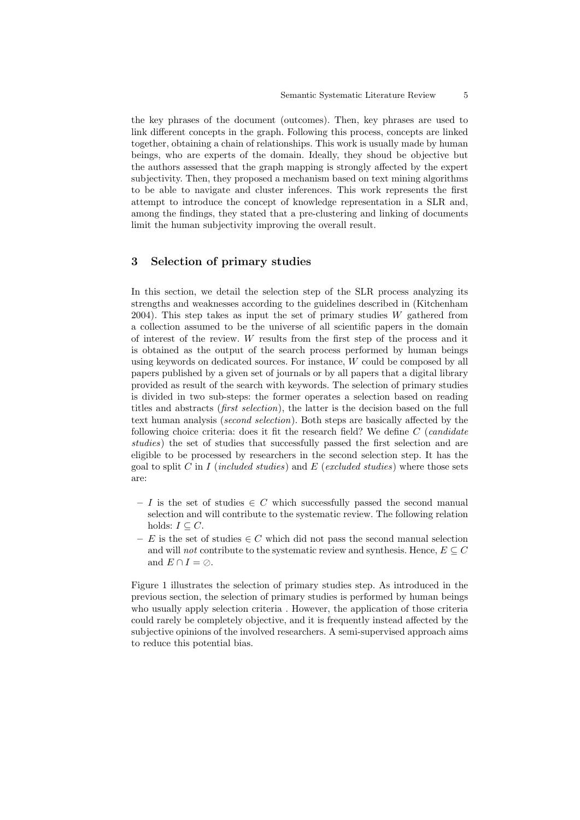the key phrases of the document (outcomes). Then, key phrases are used to link different concepts in the graph. Following this process, concepts are linked together, obtaining a chain of relationships. This work is usually made by human beings, who are experts of the domain. Ideally, they shoud be objective but the authors assessed that the graph mapping is strongly affected by the expert subjectivity. Then, they proposed a mechanism based on text mining algorithms to be able to navigate and cluster inferences. This work represents the first attempt to introduce the concept of knowledge representation in a SLR and, among the findings, they stated that a pre-clustering and linking of documents limit the human subjectivity improving the overall result.

# 3 Selection of primary studies

In this section, we detail the selection step of the SLR process analyzing its strengths and weaknesses according to the guidelines described in (Kitchenham 2004). This step takes as input the set of primary studies  $W$  gathered from a collection assumed to be the universe of all scientific papers in the domain of interest of the review.  $W$  results from the first step of the process and it is obtained as the output of the search process performed by human beings using keywords on dedicated sources. For instance, W could be composed by all papers published by a given set of journals or by all papers that a digital library provided as result of the search with keywords. The selection of primary studies is divided in two sub-steps: the former operates a selection based on reading titles and abstracts (first selection), the latter is the decision based on the full text human analysis (second selection). Both steps are basically affected by the following choice criteria: does it fit the research field? We define  $C$  (candidate studies) the set of studies that successfully passed the first selection and are eligible to be processed by researchers in the second selection step. It has the goal to split C in I (included studies) and E (excluded studies) where those sets are:

- I is the set of studies  $\in C$  which successfully passed the second manual selection and will contribute to the systematic review. The following relation holds:  $I \subseteq C$ .
- $E$  is the set of studies  $\in C$  which did not pass the second manual selection and will *not* contribute to the systematic review and synthesis. Hence,  $E \subseteq C$ and  $E \cap I = \emptyset$ .

Figure 1 illustrates the selection of primary studies step. As introduced in the previous section, the selection of primary studies is performed by human beings who usually apply selection criteria . However, the application of those criteria could rarely be completely objective, and it is frequently instead affected by the subjective opinions of the involved researchers. A semi-supervised approach aims to reduce this potential bias.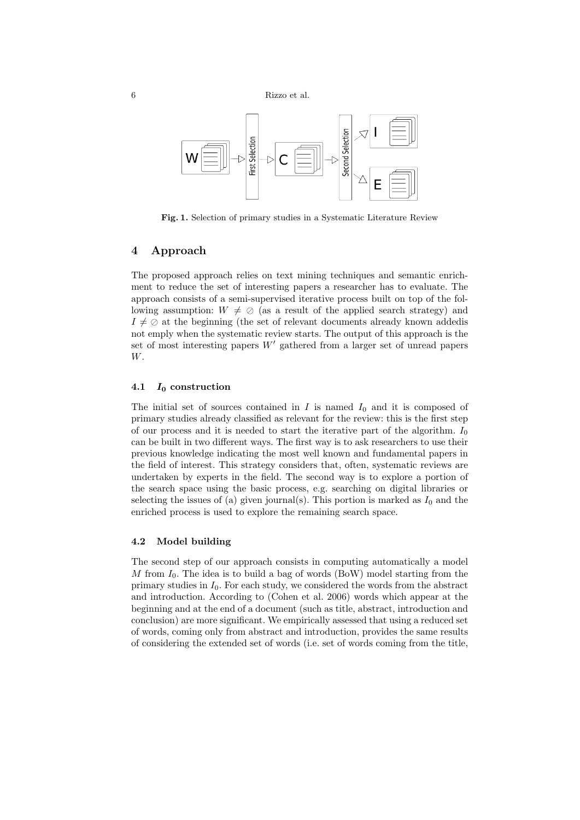

Fig. 1. Selection of primary studies in a Systematic Literature Review

# 4 Approach

The proposed approach relies on text mining techniques and semantic enrichment to reduce the set of interesting papers a researcher has to evaluate. The approach consists of a semi-supervised iterative process built on top of the following assumption:  $W \neq \emptyset$  (as a result of the applied search strategy) and  $I \neq \emptyset$  at the beginning (the set of relevant documents already known addedis not emply when the systematic review starts. The output of this approach is the set of most interesting papers  $W'$  gathered from a larger set of unread papers W.

#### 4.1  $I_0$  construction

The initial set of sources contained in  $I$  is named  $I_0$  and it is composed of primary studies already classified as relevant for the review: this is the first step of our process and it is needed to start the iterative part of the algorithm.  $I_0$ can be built in two different ways. The first way is to ask researchers to use their previous knowledge indicating the most well known and fundamental papers in the field of interest. This strategy considers that, often, systematic reviews are undertaken by experts in the field. The second way is to explore a portion of the search space using the basic process, e.g. searching on digital libraries or selecting the issues of (a) given journal(s). This portion is marked as  $I_0$  and the enriched process is used to explore the remaining search space.

#### 4.2 Model building

The second step of our approach consists in computing automatically a model M from  $I_0$ . The idea is to build a bag of words (BoW) model starting from the primary studies in  $I_0$ . For each study, we considered the words from the abstract and introduction. According to (Cohen et al. 2006) words which appear at the beginning and at the end of a document (such as title, abstract, introduction and conclusion) are more significant. We empirically assessed that using a reduced set of words, coming only from abstract and introduction, provides the same results of considering the extended set of words (i.e. set of words coming from the title,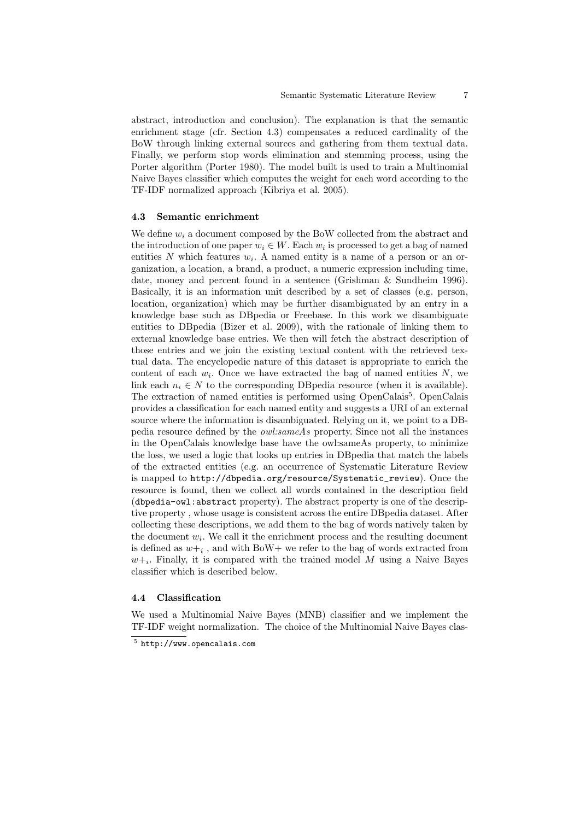abstract, introduction and conclusion). The explanation is that the semantic enrichment stage (cfr. Section 4.3) compensates a reduced cardinality of the BoW through linking external sources and gathering from them textual data. Finally, we perform stop words elimination and stemming process, using the Porter algorithm (Porter 1980). The model built is used to train a Multinomial Naive Bayes classifier which computes the weight for each word according to the TF-IDF normalized approach (Kibriya et al. 2005).

#### 4.3 Semantic enrichment

We define  $w_i$  a document composed by the BoW collected from the abstract and the introduction of one paper  $w_i \in W$ . Each  $w_i$  is processed to get a bag of named entities N which features  $w_i$ . A named entity is a name of a person or an organization, a location, a brand, a product, a numeric expression including time, date, money and percent found in a sentence (Grishman & Sundheim 1996). Basically, it is an information unit described by a set of classes (e.g. person, location, organization) which may be further disambiguated by an entry in a knowledge base such as DBpedia or Freebase. In this work we disambiguate entities to DBpedia (Bizer et al. 2009), with the rationale of linking them to external knowledge base entries. We then will fetch the abstract description of those entries and we join the existing textual content with the retrieved textual data. The encyclopedic nature of this dataset is appropriate to enrich the content of each  $w_i$ . Once we have extracted the bag of named entities  $N$ , we link each  $n_i \in N$  to the corresponding DB pedia resource (when it is available). The extraction of named entities is performed using OpenCalais<sup>5</sup>. OpenCalais provides a classification for each named entity and suggests a URI of an external source where the information is disambiguated. Relying on it, we point to a DBpedia resource defined by the owl:sameAs property. Since not all the instances in the OpenCalais knowledge base have the owl:sameAs property, to minimize the loss, we used a logic that looks up entries in DBpedia that match the labels of the extracted entities (e.g. an occurrence of Systematic Literature Review is mapped to http://dbpedia.org/resource/Systematic\_review). Once the resource is found, then we collect all words contained in the description field (dbpedia-owl:abstract property). The abstract property is one of the descriptive property , whose usage is consistent across the entire DBpedia dataset. After collecting these descriptions, we add them to the bag of words natively taken by the document  $w_i$ . We call it the enrichment process and the resulting document is defined as  $w + i$ , and with BoW+ we refer to the bag of words extracted from  $w_{i}$ . Finally, it is compared with the trained model M using a Naive Bayes classifier which is described below.

#### 4.4 Classification

We used a Multinomial Naive Bayes (MNB) classifier and we implement the TF-IDF weight normalization. The choice of the Multinomial Naive Bayes clas-

<sup>5</sup> http://www.opencalais.com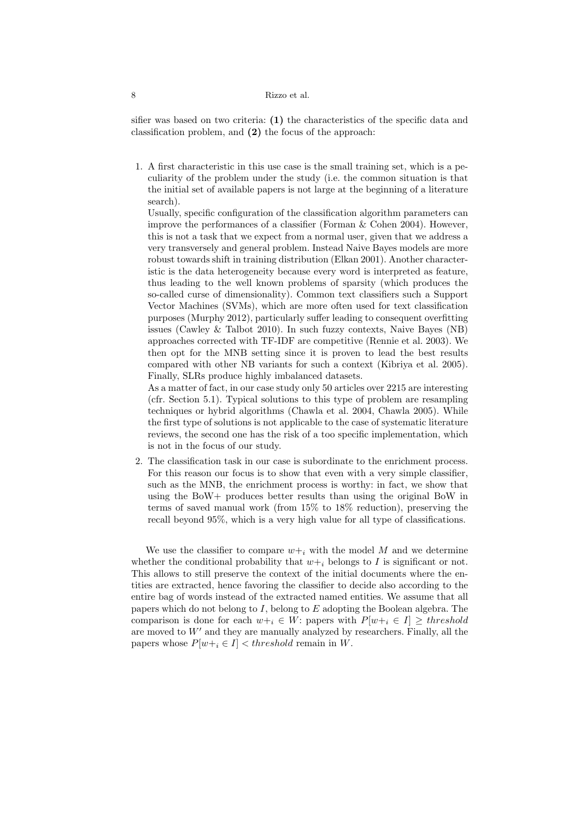sifier was based on two criteria: (1) the characteristics of the specific data and classification problem, and (2) the focus of the approach:

1. A first characteristic in this use case is the small training set, which is a peculiarity of the problem under the study (i.e. the common situation is that the initial set of available papers is not large at the beginning of a literature search).

Usually, specific configuration of the classification algorithm parameters can improve the performances of a classifier (Forman & Cohen 2004). However, this is not a task that we expect from a normal user, given that we address a very transversely and general problem. Instead Naive Bayes models are more robust towards shift in training distribution (Elkan 2001). Another characteristic is the data heterogeneity because every word is interpreted as feature, thus leading to the well known problems of sparsity (which produces the so-called curse of dimensionality). Common text classifiers such a Support Vector Machines (SVMs), which are more often used for text classification purposes (Murphy 2012), particularly suffer leading to consequent overfitting issues (Cawley & Talbot 2010). In such fuzzy contexts, Naive Bayes (NB) approaches corrected with TF-IDF are competitive (Rennie et al. 2003). We then opt for the MNB setting since it is proven to lead the best results compared with other NB variants for such a context (Kibriya et al. 2005). Finally, SLRs produce highly imbalanced datasets.

As a matter of fact, in our case study only 50 articles over 2215 are interesting (cfr. Section 5.1). Typical solutions to this type of problem are resampling techniques or hybrid algorithms (Chawla et al. 2004, Chawla 2005). While the first type of solutions is not applicable to the case of systematic literature reviews, the second one has the risk of a too specific implementation, which is not in the focus of our study.

2. The classification task in our case is subordinate to the enrichment process. For this reason our focus is to show that even with a very simple classifier, such as the MNB, the enrichment process is worthy: in fact, we show that using the BoW+ produces better results than using the original BoW in terms of saved manual work (from 15% to 18% reduction), preserving the recall beyond 95%, which is a very high value for all type of classifications.

We use the classifier to compare  $w+<sub>i</sub>$  with the model M and we determine whether the conditional probability that  $w+_i$  belongs to I is significant or not. This allows to still preserve the context of the initial documents where the entities are extracted, hence favoring the classifier to decide also according to the entire bag of words instead of the extracted named entities. We assume that all papers which do not belong to I, belong to E adopting the Boolean algebra. The comparison is done for each  $w+_i \in W$ : papers with  $P[w+_i \in I] \geq threshold$ are moved to  $W'$  and they are manually analyzed by researchers. Finally, all the papers whose  $P[w+_{i} \in I] < threshold$  remain in W.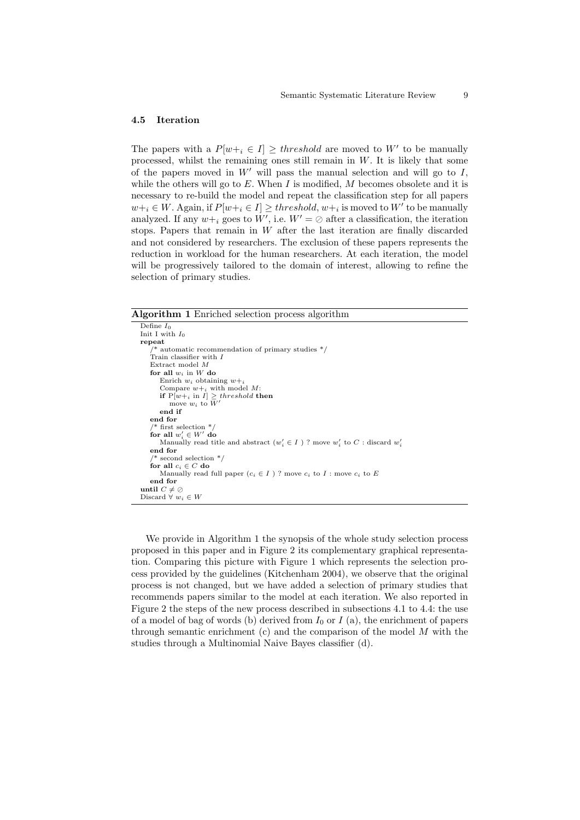#### 4.5 Iteration

The papers with a  $P[w + i \in I] \geq threshold$  are moved to W' to be manually processed, whilst the remaining ones still remain in  $W$ . It is likely that some of the papers moved in  $W'$  will pass the manual selection and will go to  $I$ , while the others will go to  $E$ . When  $I$  is modified,  $M$  becomes obsolete and it is necessary to re-build the model and repeat the classification step for all papers  $w+_i \in W$ . Again, if  $P[w+_i \in I] \geq threshold, w+_i$  is moved to  $W'$  to be manually analyzed. If any  $w + i$  goes to W', i.e.  $W' = \emptyset$  after a classification, the iteration stops. Papers that remain in W after the last iteration are finally discarded and not considered by researchers. The exclusion of these papers represents the reduction in workload for the human researchers. At each iteration, the model will be progressively tailored to the domain of interest, allowing to refine the selection of primary studies.

Algorithm 1 Enriched selection process algorithm

| Define $I_0$                                                                        |
|-------------------------------------------------------------------------------------|
| Init I with $I_0$                                                                   |
| repeat                                                                              |
| $\frac{1}{2}$ automatic recommendation of primary studies $\frac{1}{2}$             |
| Train classifier with I                                                             |
| Extract model $M$                                                                   |
| for all $w_i$ in W do                                                               |
| Enrich $w_i$ obtaining $w_{i+1}$                                                    |
| Compare $w + i$ with model M:                                                       |
| if $P[w+_{i} \text{ in } I] \geq threshold$ then                                    |
| move $w_i$ to $W'$                                                                  |
| end if                                                                              |
| end for                                                                             |
| $/*$ first selection $*/$                                                           |
| for all $w'_i \in W'$ do                                                            |
| Manually read title and abstract $(w'_i \in I)$ ? move $w'_i$ to C : discard $w'_i$ |
| end for                                                                             |
| $/*$ second selection $*/$                                                          |
| for all $c_i \in C$ do                                                              |
| Manually read full paper $(c_i \in I)$ ? move $c_i$ to I : move $c_i$ to E          |
| end for                                                                             |
| until $C \neq \emptyset$                                                            |
| Discard $\forall w_i \in W$                                                         |

We provide in Algorithm 1 the synopsis of the whole study selection process proposed in this paper and in Figure 2 its complementary graphical representation. Comparing this picture with Figure 1 which represents the selection process provided by the guidelines (Kitchenham 2004), we observe that the original process is not changed, but we have added a selection of primary studies that recommends papers similar to the model at each iteration. We also reported in Figure 2 the steps of the new process described in subsections 4.1 to 4.4: the use of a model of bag of words (b) derived from  $I_0$  or  $I$  (a), the enrichment of papers through semantic enrichment  $(c)$  and the comparison of the model  $M$  with the studies through a Multinomial Naive Bayes classifier (d).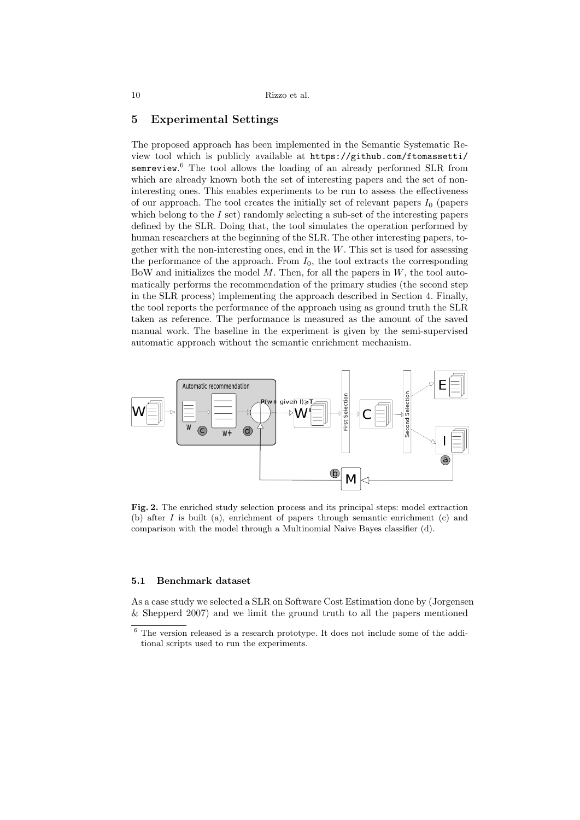#### 5 Experimental Settings

The proposed approach has been implemented in the Semantic Systematic Review tool which is publicly available at https://github.com/ftomassetti/ semreview. <sup>6</sup> The tool allows the loading of an already performed SLR from which are already known both the set of interesting papers and the set of noninteresting ones. This enables experiments to be run to assess the effectiveness of our approach. The tool creates the initially set of relevant papers  $I_0$  (papers which belong to the  $I$  set) randomly selecting a sub-set of the interesting papers defined by the SLR. Doing that, the tool simulates the operation performed by human researchers at the beginning of the SLR. The other interesting papers, together with the non-interesting ones, end in the  $W$ . This set is used for assessing the performance of the approach. From  $I_0$ , the tool extracts the corresponding BoW and initializes the model  $M$ . Then, for all the papers in  $W$ , the tool automatically performs the recommendation of the primary studies (the second step in the SLR process) implementing the approach described in Section 4. Finally, the tool reports the performance of the approach using as ground truth the SLR taken as reference. The performance is measured as the amount of the saved manual work. The baseline in the experiment is given by the semi-supervised automatic approach without the semantic enrichment mechanism.



Fig. 2. The enriched study selection process and its principal steps: model extraction (b) after I is built (a), enrichment of papers through semantic enrichment (c) and comparison with the model through a Multinomial Naive Bayes classifier (d).

#### 5.1 Benchmark dataset

As a case study we selected a SLR on Software Cost Estimation done by (Jorgensen & Shepperd 2007) and we limit the ground truth to all the papers mentioned

 $6$  The version released is a research prototype. It does not include some of the additional scripts used to run the experiments.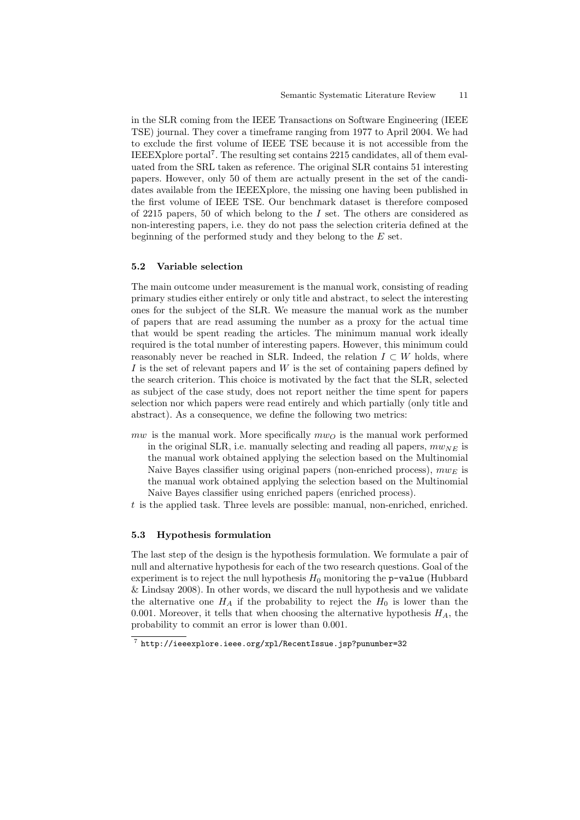in the SLR coming from the IEEE Transactions on Software Engineering (IEEE TSE) journal. They cover a timeframe ranging from 1977 to April 2004. We had to exclude the first volume of IEEE TSE because it is not accessible from the IEEEX plore portal<sup>7</sup>. The resulting set contains 2215 candidates, all of them evaluated from the SRL taken as reference. The original SLR contains 51 interesting papers. However, only 50 of them are actually present in the set of the candidates available from the IEEEXplore, the missing one having been published in the first volume of IEEE TSE. Our benchmark dataset is therefore composed of 2215 papers, 50 of which belong to the  $I$  set. The others are considered as non-interesting papers, i.e. they do not pass the selection criteria defined at the beginning of the performed study and they belong to the E set.

#### 5.2 Variable selection

The main outcome under measurement is the manual work, consisting of reading primary studies either entirely or only title and abstract, to select the interesting ones for the subject of the SLR. We measure the manual work as the number of papers that are read assuming the number as a proxy for the actual time that would be spent reading the articles. The minimum manual work ideally required is the total number of interesting papers. However, this minimum could reasonably never be reached in SLR. Indeed, the relation  $I \subset W$  holds, where I is the set of relevant papers and  $W$  is the set of containing papers defined by the search criterion. This choice is motivated by the fact that the SLR, selected as subject of the case study, does not report neither the time spent for papers selection nor which papers were read entirely and which partially (only title and abstract). As a consequence, we define the following two metrics:

mw is the manual work. More specifically  $mw<sub>O</sub>$  is the manual work performed in the original SLR, i.e. manually selecting and reading all papers,  $mw_{NE}$  is the manual work obtained applying the selection based on the Multinomial Naive Bayes classifier using original papers (non-enriched process),  $mw_E$  is the manual work obtained applying the selection based on the Multinomial Naive Bayes classifier using enriched papers (enriched process).

t is the applied task. Three levels are possible: manual, non-enriched, enriched.

#### 5.3 Hypothesis formulation

The last step of the design is the hypothesis formulation. We formulate a pair of null and alternative hypothesis for each of the two research questions. Goal of the experiment is to reject the null hypothesis  $H_0$  monitoring the p-value (Hubbard & Lindsay 2008). In other words, we discard the null hypothesis and we validate the alternative one  $H_A$  if the probability to reject the  $H_0$  is lower than the 0.001. Moreover, it tells that when choosing the alternative hypothesis  $H_A$ , the probability to commit an error is lower than 0.001.

 $^7$  http://ieeexplore.ieee.org/xpl/RecentIssue.jsp?punumber=32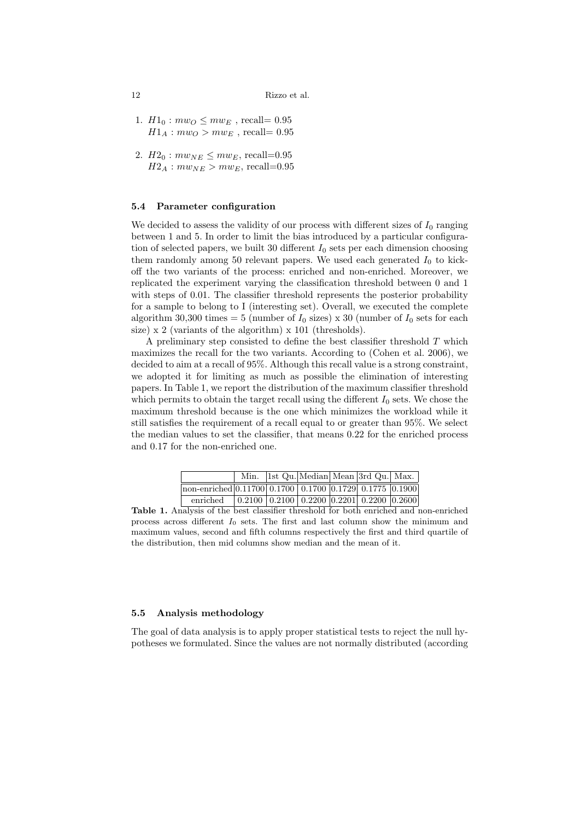- 1.  $H1_0: m w_O \le m w_E$ , recall= 0.95  $H1_A : m w_O > m w_E$ , recall= 0.95
- 2.  $H2_0: m w_{NE} \le m w_E$ , recall=0.95  $H2_A : m w_{NE} > m w_E$ , recall=0.95

#### 5.4 Parameter configuration

We decided to assess the validity of our process with different sizes of  $I_0$  ranging between 1 and 5. In order to limit the bias introduced by a particular configuration of selected papers, we built 30 different  $I_0$  sets per each dimension choosing them randomly among 50 relevant papers. We used each generated  $I_0$  to kickoff the two variants of the process: enriched and non-enriched. Moreover, we replicated the experiment varying the classification threshold between 0 and 1 with steps of 0.01. The classifier threshold represents the posterior probability for a sample to belong to I (interesting set). Overall, we executed the complete algorithm 30,300 times = 5 (number of  $I_0$  sizes) x 30 (number of  $I_0$  sets for each size) x 2 (variants of the algorithm) x 101 (thresholds).

A preliminary step consisted to define the best classifier threshold  $T$  which maximizes the recall for the two variants. According to (Cohen et al. 2006), we decided to aim at a recall of 95%. Although this recall value is a strong constraint, we adopted it for limiting as much as possible the elimination of interesting papers. In Table 1, we report the distribution of the maximum classifier threshold which permits to obtain the target recall using the different  $I_0$  sets. We chose the maximum threshold because is the one which minimizes the workload while it still satisfies the requirement of a recall equal to or greater than 95%. We select the median values to set the classifier, that means 0.22 for the enriched process and 0.17 for the non-enriched one.

|                |                                                                                                                                                  |  |  |  |  | 1st Qu. Median Mean 3rd Qu. Max.                                                      |  |
|----------------|--------------------------------------------------------------------------------------------------------------------------------------------------|--|--|--|--|---------------------------------------------------------------------------------------|--|
|                | $\boxed{\text{non-enriched}\left[0.11700\right]\left[0.1700\right]\left[0.1700\right]\left[0.1729\right]\left[0.1775\right]\left[0.1900\right]}$ |  |  |  |  |                                                                                       |  |
|                | enriched                                                                                                                                         |  |  |  |  | $\vert 0.2100 \vert 0.2100 \vert 0.2200 \vert 0.2201 \vert 0.2200 \vert 0.2600 \vert$ |  |
| $\blacksquare$ |                                                                                                                                                  |  |  |  |  |                                                                                       |  |

Table 1. Analysis of the best classifier threshold for both enriched and non-enriched process across different  $I_0$  sets. The first and last column show the minimum and maximum values, second and fifth columns respectively the first and third quartile of the distribution, then mid columns show median and the mean of it.

#### 5.5 Analysis methodology

The goal of data analysis is to apply proper statistical tests to reject the null hypotheses we formulated. Since the values are not normally distributed (according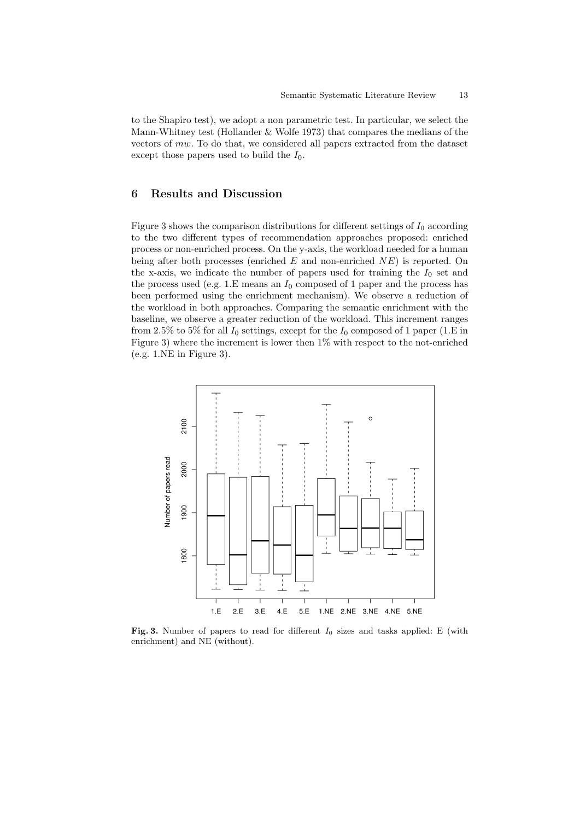to the Shapiro test), we adopt a non parametric test. In particular, we select the Mann-Whitney test (Hollander & Wolfe 1973) that compares the medians of the vectors of mw. To do that, we considered all papers extracted from the dataset except those papers used to build the  $I_0$ .

# 6 Results and Discussion

Figure 3 shows the comparison distributions for different settings of  $I_0$  according to the two different types of recommendation approaches proposed: enriched process or non-enriched process. On the y-axis, the workload needed for a human being after both processes (enriched  $E$  and non-enriched  $NE$ ) is reported. On the x-axis, we indicate the number of papers used for training the  $I_0$  set and the process used (e.g. 1.E means an  $I_0$  composed of 1 paper and the process has been performed using the enrichment mechanism). We observe a reduction of the workload in both approaches. Comparing the semantic enrichment with the baseline, we observe a greater reduction of the workload. This increment ranges from 2.5% to 5% for all  $I_0$  settings, except for the  $I_0$  composed of 1 paper (1.E in Figure 3) where the increment is lower then 1% with respect to the not-enriched (e.g. 1.NE in Figure 3).



Fig. 3. Number of papers to read for different  $I_0$  sizes and tasks applied: E (with enrichment) and NE (without).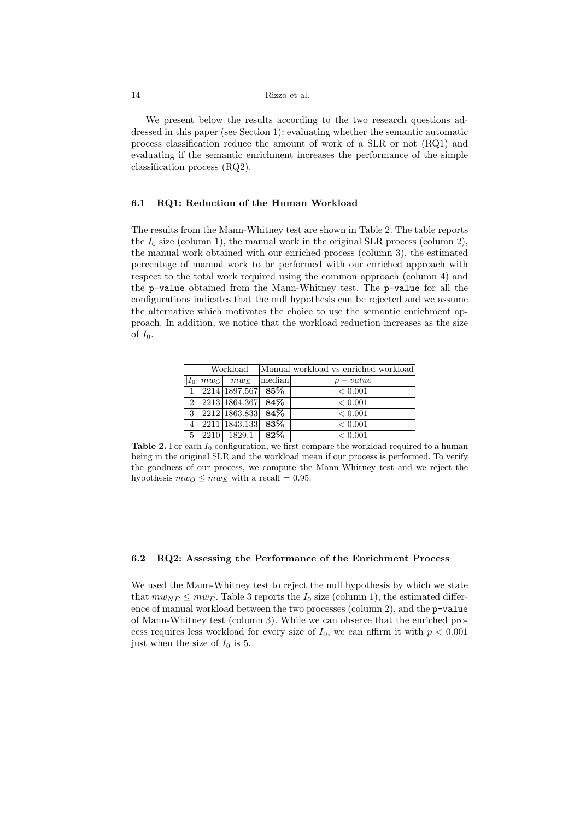We present below the results according to the two research questions addressed in this paper (see Section 1): evaluating whether the semantic automatic process classification reduce the amount of work of a SLR or not (RQ1) and evaluating if the semantic enrichment increases the performance of the simple classification process (RQ2).

#### 6.1 RQ1: Reduction of the Human Workload

The results from the Mann-Whitney test are shown in Table 2. The table reports the  $I_0$  size (column 1), the manual work in the original SLR process (column 2), the manual work obtained with our enriched process (column 3), the estimated percentage of manual work to be performed with our enriched approach with respect to the total work required using the common approach (column 4) and the p-value obtained from the Mann-Whitney test. The p-value for all the configurations indicates that the null hypothesis can be rejected and we assume the alternative which motivates the choice to use the semantic enrichment approach. In addition, we notice that the workload reduction increases as the size of  $I_0$ .

|                | Workload       |                        |        | Manual workload vs enriched workload |
|----------------|----------------|------------------------|--------|--------------------------------------|
|                | $ I_0   mw_O $ | $mw_E$                 | median | $p-value$                            |
| 1              |                | $ 2214 1897.567 $ 85\% |        | < 0.001                              |
| $\overline{2}$ |                | $ 2213 1864.367 $ 84\% |        | < 0.001                              |
| 3              |                | $ 2212 1863.833 $ 84\% |        | < 0.001                              |
| $\overline{4}$ |                | $ 2211 1843.133 83\%$  |        | < 0.001                              |
| 5              | 2210           | 1829.1                 | 82\%   | < 0.001                              |

**Table 2.** For each  $I_0$  configuration, we first compare the workload required to a human being in the original SLR and the workload mean if our process is performed. To verify the goodness of our process, we compute the Mann-Whitney test and we reject the hypothesis  $mw_O \leq mw_E$  with a recall = 0.95.

# 6.2 RQ2: Assessing the Performance of the Enrichment Process

We used the Mann-Whitney test to reject the null hypothesis by which we state that  $mw_{NE} \leq mw_E$ . Table 3 reports the  $I_0$  size (column 1), the estimated difference of manual workload between the two processes (column 2), and the p-value of Mann-Whitney test (column 3). While we can observe that the enriched process requires less workload for every size of  $I_0$ , we can affirm it with  $p < 0.001$ just when the size of  $I_0$  is 5.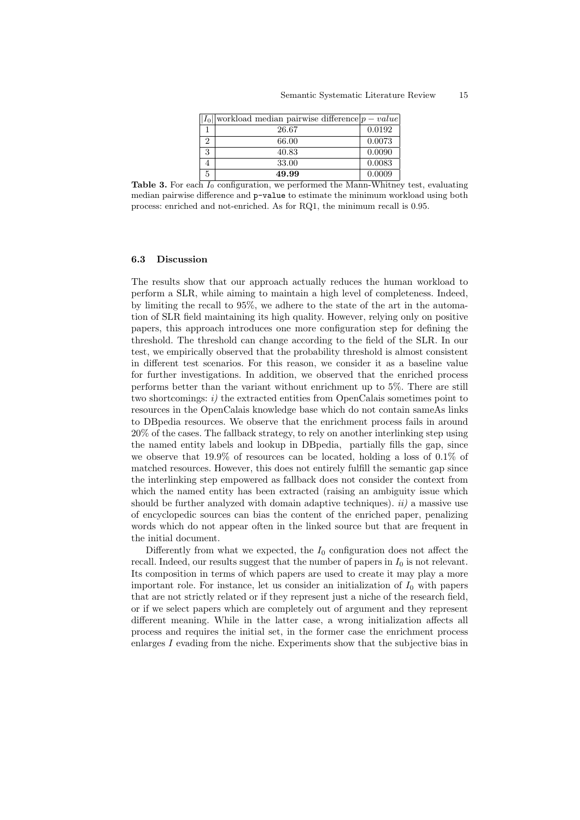|                | $ I_0 $ workload median pairwise difference $ p-value $ |        |
|----------------|---------------------------------------------------------|--------|
|                | 26.67                                                   | 0.0192 |
| $\overline{2}$ | 66.00                                                   | 0.0073 |
| 3              | 40.83                                                   | 0.0090 |
|                | 33.00                                                   | 0.0083 |
| 5              | 49.99                                                   | 0.0009 |

Table 3. For each  $I_0$  configuration, we performed the Mann-Whitney test, evaluating median pairwise difference and p-value to estimate the minimum workload using both process: enriched and not-enriched. As for RQ1, the minimum recall is 0.95.

#### 6.3 Discussion

The results show that our approach actually reduces the human workload to perform a SLR, while aiming to maintain a high level of completeness. Indeed, by limiting the recall to 95%, we adhere to the state of the art in the automation of SLR field maintaining its high quality. However, relying only on positive papers, this approach introduces one more configuration step for defining the threshold. The threshold can change according to the field of the SLR. In our test, we empirically observed that the probability threshold is almost consistent in different test scenarios. For this reason, we consider it as a baseline value for further investigations. In addition, we observed that the enriched process performs better than the variant without enrichment up to 5%. There are still two shortcomings:  $i$ ) the extracted entities from OpenCalais sometimes point to resources in the OpenCalais knowledge base which do not contain sameAs links to DBpedia resources. We observe that the enrichment process fails in around 20% of the cases. The fallback strategy, to rely on another interlinking step using the named entity labels and lookup in DBpedia, partially fills the gap, since we observe that 19.9% of resources can be located, holding a loss of 0.1% of matched resources. However, this does not entirely fulfill the semantic gap since the interlinking step empowered as fallback does not consider the context from which the named entity has been extracted (raising an ambiguity issue which should be further analyzed with domain adaptive techniques).  $ii)$  a massive use of encyclopedic sources can bias the content of the enriched paper, penalizing words which do not appear often in the linked source but that are frequent in the initial document.

Differently from what we expected, the  $I_0$  configuration does not affect the recall. Indeed, our results suggest that the number of papers in  $I_0$  is not relevant. Its composition in terms of which papers are used to create it may play a more important role. For instance, let us consider an initialization of  $I_0$  with papers that are not strictly related or if they represent just a niche of the research field, or if we select papers which are completely out of argument and they represent different meaning. While in the latter case, a wrong initialization affects all process and requires the initial set, in the former case the enrichment process enlarges I evading from the niche. Experiments show that the subjective bias in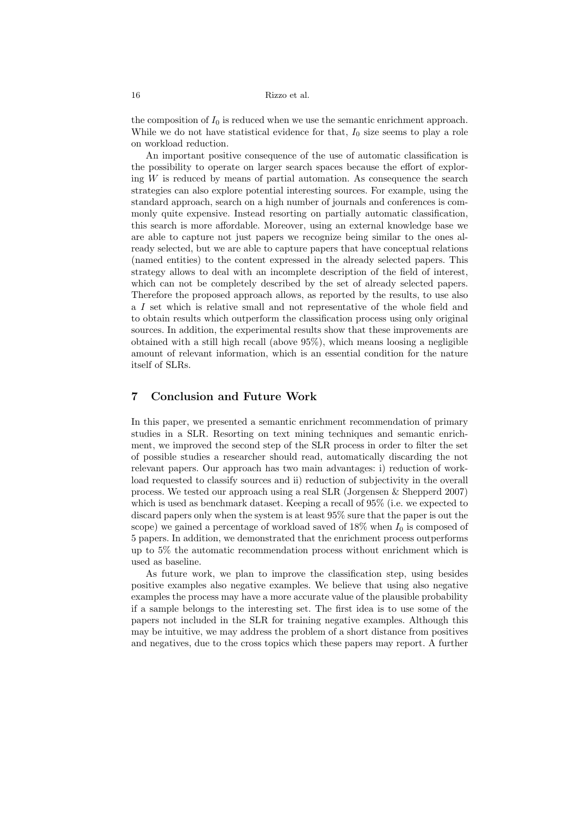the composition of  $I_0$  is reduced when we use the semantic enrichment approach. While we do not have statistical evidence for that,  $I_0$  size seems to play a role on workload reduction.

An important positive consequence of the use of automatic classification is the possibility to operate on larger search spaces because the effort of exploring  $W$  is reduced by means of partial automation. As consequence the search strategies can also explore potential interesting sources. For example, using the standard approach, search on a high number of journals and conferences is commonly quite expensive. Instead resorting on partially automatic classification, this search is more affordable. Moreover, using an external knowledge base we are able to capture not just papers we recognize being similar to the ones already selected, but we are able to capture papers that have conceptual relations (named entities) to the content expressed in the already selected papers. This strategy allows to deal with an incomplete description of the field of interest, which can not be completely described by the set of already selected papers. Therefore the proposed approach allows, as reported by the results, to use also a I set which is relative small and not representative of the whole field and to obtain results which outperform the classification process using only original sources. In addition, the experimental results show that these improvements are obtained with a still high recall (above 95%), which means loosing a negligible amount of relevant information, which is an essential condition for the nature itself of SLRs.

# 7 Conclusion and Future Work

In this paper, we presented a semantic enrichment recommendation of primary studies in a SLR. Resorting on text mining techniques and semantic enrichment, we improved the second step of the SLR process in order to filter the set of possible studies a researcher should read, automatically discarding the not relevant papers. Our approach has two main advantages: i) reduction of workload requested to classify sources and ii) reduction of subjectivity in the overall process. We tested our approach using a real SLR (Jorgensen & Shepperd 2007) which is used as benchmark dataset. Keeping a recall of 95% (i.e. we expected to discard papers only when the system is at least 95% sure that the paper is out the scope) we gained a percentage of workload saved of  $18\%$  when  $I_0$  is composed of 5 papers. In addition, we demonstrated that the enrichment process outperforms up to 5% the automatic recommendation process without enrichment which is used as baseline.

As future work, we plan to improve the classification step, using besides positive examples also negative examples. We believe that using also negative examples the process may have a more accurate value of the plausible probability if a sample belongs to the interesting set. The first idea is to use some of the papers not included in the SLR for training negative examples. Although this may be intuitive, we may address the problem of a short distance from positives and negatives, due to the cross topics which these papers may report. A further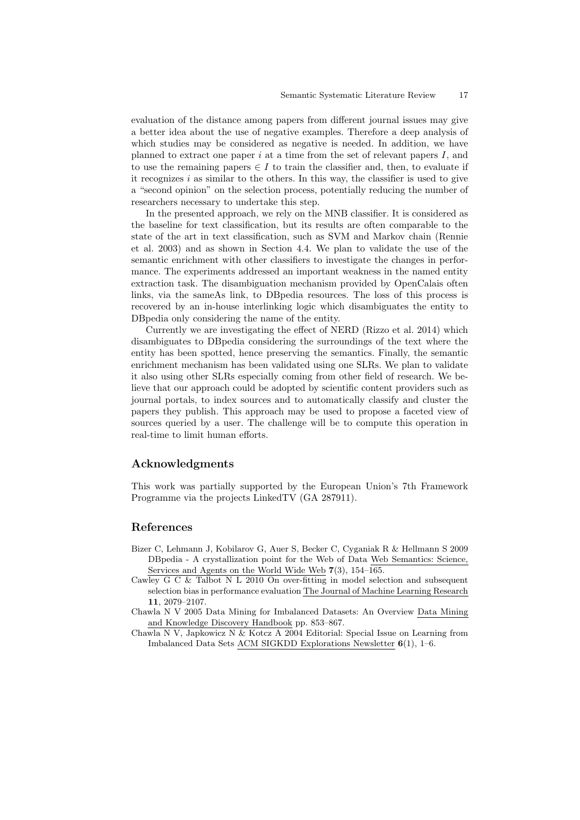evaluation of the distance among papers from different journal issues may give a better idea about the use of negative examples. Therefore a deep analysis of which studies may be considered as negative is needed. In addition, we have planned to extract one paper  $i$  at a time from the set of relevant papers  $I$ , and to use the remaining papers  $\in I$  to train the classifier and, then, to evaluate if it recognizes  $i$  as similar to the others. In this way, the classifier is used to give a "second opinion" on the selection process, potentially reducing the number of researchers necessary to undertake this step.

In the presented approach, we rely on the MNB classifier. It is considered as the baseline for text classification, but its results are often comparable to the state of the art in text classification, such as SVM and Markov chain (Rennie et al. 2003) and as shown in Section 4.4. We plan to validate the use of the semantic enrichment with other classifiers to investigate the changes in performance. The experiments addressed an important weakness in the named entity extraction task. The disambiguation mechanism provided by OpenCalais often links, via the sameAs link, to DBpedia resources. The loss of this process is recovered by an in-house interlinking logic which disambiguates the entity to DBpedia only considering the name of the entity.

Currently we are investigating the effect of NERD (Rizzo et al. 2014) which disambiguates to DBpedia considering the surroundings of the text where the entity has been spotted, hence preserving the semantics. Finally, the semantic enrichment mechanism has been validated using one SLRs. We plan to validate it also using other SLRs especially coming from other field of research. We believe that our approach could be adopted by scientific content providers such as journal portals, to index sources and to automatically classify and cluster the papers they publish. This approach may be used to propose a faceted view of sources queried by a user. The challenge will be to compute this operation in real-time to limit human efforts.

# Acknowledgments

This work was partially supported by the European Union's 7th Framework Programme via the projects LinkedTV (GA 287911).

#### References

- Bizer C, Lehmann J, Kobilarov G, Auer S, Becker C, Cyganiak R & Hellmann S 2009 DBpedia - A crystallization point for the Web of Data Web Semantics: Science, Services and Agents on the World Wide Web  $7(3)$ , 154–165.
- Cawley G C & Talbot N L 2010 On over-fitting in model selection and subsequent selection bias in performance evaluation The Journal of Machine Learning Research 11, 2079–2107.
- Chawla N V 2005 Data Mining for Imbalanced Datasets: An Overview Data Mining and Knowledge Discovery Handbook pp. 853–867.
- Chawla N V, Japkowicz N & Kotcz A 2004 Editorial: Special Issue on Learning from Imbalanced Data Sets ACM SIGKDD Explorations Newsletter 6(1), 1–6.